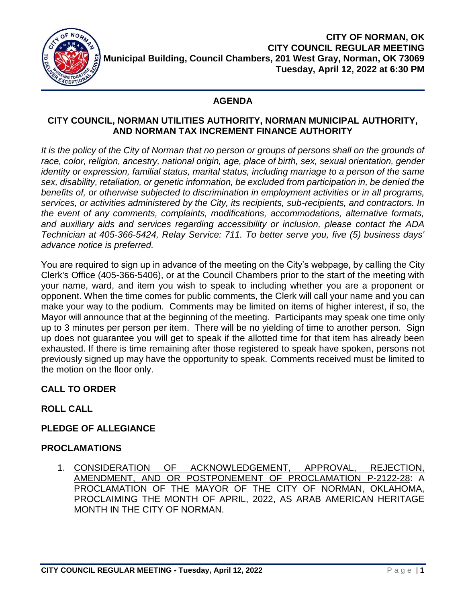

## **AGENDA**

#### **CITY COUNCIL, NORMAN UTILITIES AUTHORITY, NORMAN MUNICIPAL AUTHORITY, AND NORMAN TAX INCREMENT FINANCE AUTHORITY**

It is the policy of the City of Norman that no person or groups of persons shall on the grounds of *race, color, religion, ancestry, national origin, age, place of birth, sex, sexual orientation, gender identity or expression, familial status, marital status, including marriage to a person of the same sex, disability, retaliation, or genetic information, be excluded from participation in, be denied the benefits of, or otherwise subjected to discrimination in employment activities or in all programs, services, or activities administered by the City, its recipients, sub-recipients, and contractors. In the event of any comments, complaints, modifications, accommodations, alternative formats, and auxiliary aids and services regarding accessibility or inclusion, please contact the ADA Technician at 405-366-5424, Relay Service: 711. To better serve you, five (5) business days' advance notice is preferred.*

You are required to sign up in advance of the meeting on the City's webpage, by calling the City Clerk's Office (405-366-5406), or at the Council Chambers prior to the start of the meeting with your name, ward, and item you wish to speak to including whether you are a proponent or opponent. When the time comes for public comments, the Clerk will call your name and you can make your way to the podium. Comments may be limited on items of higher interest, if so, the Mayor will announce that at the beginning of the meeting. Participants may speak one time only up to 3 minutes per person per item. There will be no yielding of time to another person. Sign up does not guarantee you will get to speak if the allotted time for that item has already been exhausted. If there is time remaining after those registered to speak have spoken, persons not previously signed up may have the opportunity to speak. Comments received must be limited to the motion on the floor only.

# **CALL TO ORDER**

# **ROLL CALL**

## **PLEDGE OF ALLEGIANCE**

## **PROCLAMATIONS**

1. CONSIDERATION OF ACKNOWLEDGEMENT, APPROVAL, REJECTION, AMENDMENT, AND OR POSTPONEMENT OF PROCLAMATION P-2122-28: A PROCLAMATION OF THE MAYOR OF THE CITY OF NORMAN, OKLAHOMA, PROCLAIMING THE MONTH OF APRIL, 2022, AS ARAB AMERICAN HERITAGE MONTH IN THE CITY OF NORMAN.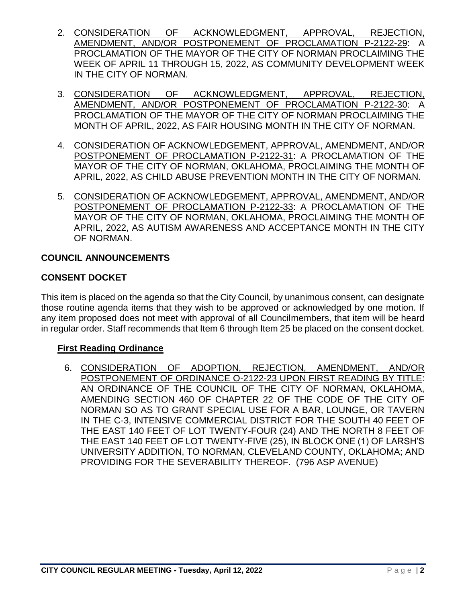- 2. CONSIDERATION OF ACKNOWLEDGMENT, APPROVAL, REJECTION, AMENDMENT, AND/OR POSTPONEMENT OF PROCLAMATION P-2122-29: A PROCLAMATION OF THE MAYOR OF THE CITY OF NORMAN PROCLAIMING THE WEEK OF APRIL 11 THROUGH 15, 2022, AS COMMUNITY DEVELOPMENT WEEK IN THE CITY OF NORMAN.
- 3. CONSIDERATION OF ACKNOWLEDGMENT, APPROVAL, REJECTION, AMENDMENT, AND/OR POSTPONEMENT OF PROCLAMATION P-2122-30: A PROCLAMATION OF THE MAYOR OF THE CITY OF NORMAN PROCLAIMING THE MONTH OF APRIL, 2022, AS FAIR HOUSING MONTH IN THE CITY OF NORMAN.
- 4. CONSIDERATION OF ACKNOWLEDGEMENT, APPROVAL, AMENDMENT, AND/OR POSTPONEMENT OF PROCLAMATION P-2122-31: A PROCLAMATION OF THE MAYOR OF THE CITY OF NORMAN, OKLAHOMA, PROCLAIMING THE MONTH OF APRIL, 2022, AS CHILD ABUSE PREVENTION MONTH IN THE CITY OF NORMAN.
- 5. CONSIDERATION OF ACKNOWLEDGEMENT, APPROVAL, AMENDMENT, AND/OR POSTPONEMENT OF PROCLAMATION P-2122-33: A PROCLAMATION OF THE MAYOR OF THE CITY OF NORMAN, OKLAHOMA, PROCLAIMING THE MONTH OF APRIL, 2022, AS AUTISM AWARENESS AND ACCEPTANCE MONTH IN THE CITY OF NORMAN.

## **COUNCIL ANNOUNCEMENTS**

## **CONSENT DOCKET**

This item is placed on the agenda so that the City Council, by unanimous consent, can designate those routine agenda items that they wish to be approved or acknowledged by one motion. If any item proposed does not meet with approval of all Councilmembers, that item will be heard in regular order. Staff recommends that Item 6 through Item 25 be placed on the consent docket.

## **First Reading Ordinance**

6. CONSIDERATION OF ADOPTION, REJECTION, AMENDMENT, AND/OR POSTPONEMENT OF ORDINANCE O-2122-23 UPON FIRST READING BY TITLE: AN ORDINANCE OF THE COUNCIL OF THE CITY OF NORMAN, OKLAHOMA, AMENDING SECTION 460 OF CHAPTER 22 OF THE CODE OF THE CITY OF NORMAN SO AS TO GRANT SPECIAL USE FOR A BAR, LOUNGE, OR TAVERN IN THE C-3, INTENSIVE COMMERCIAL DISTRICT FOR THE SOUTH 40 FEET OF THE EAST 140 FEET OF LOT TWENTY-FOUR (24) AND THE NORTH 8 FEET OF THE EAST 140 FEET OF LOT TWENTY-FIVE (25), IN BLOCK ONE (1) OF LARSH'S UNIVERSITY ADDITION, TO NORMAN, CLEVELAND COUNTY, OKLAHOMA; AND PROVIDING FOR THE SEVERABILITY THEREOF. (796 ASP AVENUE)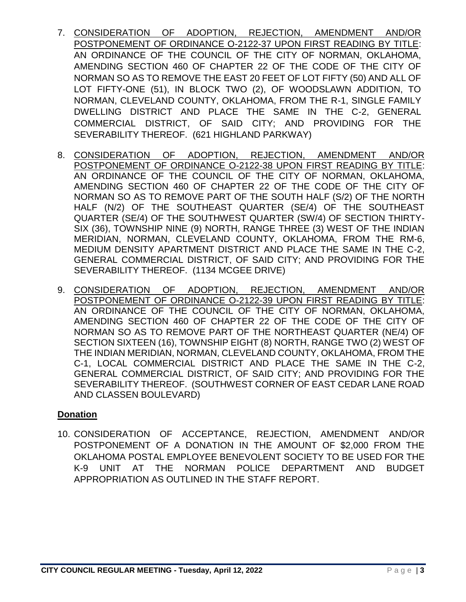- 7. CONSIDERATION OF ADOPTION, REJECTION, AMENDMENT AND/OR POSTPONEMENT OF ORDINANCE O-2122-37 UPON FIRST READING BY TITLE: AN ORDINANCE OF THE COUNCIL OF THE CITY OF NORMAN, OKLAHOMA, AMENDING SECTION 460 OF CHAPTER 22 OF THE CODE OF THE CITY OF NORMAN SO AS TO REMOVE THE EAST 20 FEET OF LOT FIFTY (50) AND ALL OF LOT FIFTY-ONE (51), IN BLOCK TWO (2), OF WOODSLAWN ADDITION, TO NORMAN, CLEVELAND COUNTY, OKLAHOMA, FROM THE R-1, SINGLE FAMILY DWELLING DISTRICT AND PLACE THE SAME IN THE C-2, GENERAL COMMERCIAL DISTRICT, OF SAID CITY; AND PROVIDING FOR THE SEVERABILITY THEREOF. (621 HIGHLAND PARKWAY)
- 8. CONSIDERATION OF ADOPTION, REJECTION, AMENDMENT AND/OR POSTPONEMENT OF ORDINANCE O-2122-38 UPON FIRST READING BY TITLE: AN ORDINANCE OF THE COUNCIL OF THE CITY OF NORMAN, OKLAHOMA, AMENDING SECTION 460 OF CHAPTER 22 OF THE CODE OF THE CITY OF NORMAN SO AS TO REMOVE PART OF THE SOUTH HALF (S/2) OF THE NORTH HALF (N/2) OF THE SOUTHEAST QUARTER (SE/4) OF THE SOUTHEAST QUARTER (SE/4) OF THE SOUTHWEST QUARTER (SW/4) OF SECTION THIRTY-SIX (36), TOWNSHIP NINE (9) NORTH, RANGE THREE (3) WEST OF THE INDIAN MERIDIAN, NORMAN, CLEVELAND COUNTY, OKLAHOMA, FROM THE RM-6, MEDIUM DENSITY APARTMENT DISTRICT AND PLACE THE SAME IN THE C-2, GENERAL COMMERCIAL DISTRICT, OF SAID CITY; AND PROVIDING FOR THE SEVERABILITY THEREOF. (1134 MCGEE DRIVE)
- 9. CONSIDERATION OF ADOPTION, REJECTION, AMENDMENT AND/OR POSTPONEMENT OF ORDINANCE O-2122-39 UPON FIRST READING BY TITLE: AN ORDINANCE OF THE COUNCIL OF THE CITY OF NORMAN, OKLAHOMA, AMENDING SECTION 460 OF CHAPTER 22 OF THE CODE OF THE CITY OF NORMAN SO AS TO REMOVE PART OF THE NORTHEAST QUARTER (NE/4) OF SECTION SIXTEEN (16), TOWNSHIP EIGHT (8) NORTH, RANGE TWO (2) WEST OF THE INDIAN MERIDIAN, NORMAN, CLEVELAND COUNTY, OKLAHOMA, FROM THE C-1, LOCAL COMMERCIAL DISTRICT AND PLACE THE SAME IN THE C-2, GENERAL COMMERCIAL DISTRICT, OF SAID CITY; AND PROVIDING FOR THE SEVERABILITY THEREOF. (SOUTHWEST CORNER OF EAST CEDAR LANE ROAD AND CLASSEN BOULEVARD)

## **Donation**

10. CONSIDERATION OF ACCEPTANCE, REJECTION, AMENDMENT AND/OR POSTPONEMENT OF A DONATION IN THE AMOUNT OF \$2,000 FROM THE OKLAHOMA POSTAL EMPLOYEE BENEVOLENT SOCIETY TO BE USED FOR THE K-9 UNIT AT THE NORMAN POLICE DEPARTMENT AND BUDGET APPROPRIATION AS OUTLINED IN THE STAFF REPORT.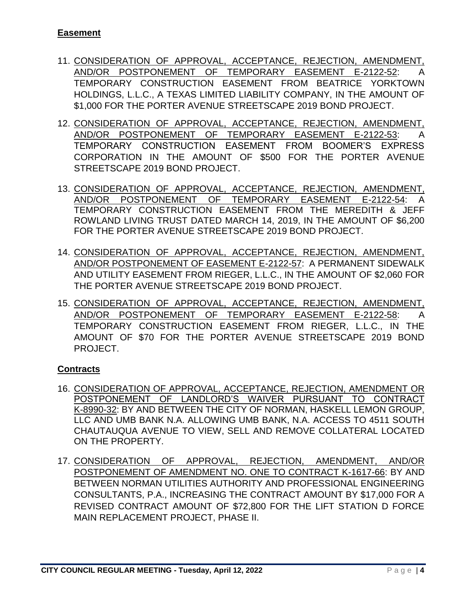- 11. CONSIDERATION OF APPROVAL, ACCEPTANCE, REJECTION, AMENDMENT, AND/OR POSTPONEMENT OF TEMPORARY EASEMENT E-2122-52: A TEMPORARY CONSTRUCTION EASEMENT FROM BEATRICE YORKTOWN HOLDINGS, L.L.C., A TEXAS LIMITED LIABILITY COMPANY, IN THE AMOUNT OF \$1,000 FOR THE PORTER AVENUE STREETSCAPE 2019 BOND PROJECT.
- 12. CONSIDERATION OF APPROVAL, ACCEPTANCE, REJECTION, AMENDMENT, AND/OR POSTPONEMENT OF TEMPORARY EASEMENT E-2122-53: A TEMPORARY CONSTRUCTION EASEMENT FROM BOOMER'S EXPRESS CORPORATION IN THE AMOUNT OF \$500 FOR THE PORTER AVENUE STREETSCAPE 2019 BOND PROJECT.
- 13. CONSIDERATION OF APPROVAL, ACCEPTANCE, REJECTION, AMENDMENT, AND/OR POSTPONEMENT OF TEMPORARY EASEMENT E-2122-54: A TEMPORARY CONSTRUCTION EASEMENT FROM THE MEREDITH & JEFF ROWLAND LIVING TRUST DATED MARCH 14, 2019, IN THE AMOUNT OF \$6,200 FOR THE PORTER AVENUE STREETSCAPE 2019 BOND PROJECT.
- 14. CONSIDERATION OF APPROVAL, ACCEPTANCE, REJECTION, AMENDMENT, AND/OR POSTPONEMENT OF EASEMENT E-2122-57: A PERMANENT SIDEWALK AND UTILITY EASEMENT FROM RIEGER, L.L.C., IN THE AMOUNT OF \$2,060 FOR THE PORTER AVENUE STREETSCAPE 2019 BOND PROJECT.
- 15. CONSIDERATION OF APPROVAL, ACCEPTANCE, REJECTION, AMENDMENT, AND/OR POSTPONEMENT OF TEMPORARY EASEMENT E-2122-58: A TEMPORARY CONSTRUCTION EASEMENT FROM RIEGER, L.L.C., IN THE AMOUNT OF \$70 FOR THE PORTER AVENUE STREETSCAPE 2019 BOND PROJECT.

# **Contracts**

- 16. CONSIDERATION OF APPROVAL, ACCEPTANCE, REJECTION, AMENDMENT OR POSTPONEMENT OF LANDLORD'S WAIVER PURSUANT TO CONTRACT K-8990-32: BY AND BETWEEN THE CITY OF NORMAN, HASKELL LEMON GROUP, LLC AND UMB BANK N.A. ALLOWING UMB BANK, N.A. ACCESS TO 4511 SOUTH CHAUTAUQUA AVENUE TO VIEW, SELL AND REMOVE COLLATERAL LOCATED ON THE PROPERTY.
- 17. CONSIDERATION OF APPROVAL, REJECTION, AMENDMENT, AND/OR POSTPONEMENT OF AMENDMENT NO. ONE TO CONTRACT K-1617-66: BY AND BETWEEN NORMAN UTILITIES AUTHORITY AND PROFESSIONAL ENGINEERING CONSULTANTS, P.A., INCREASING THE CONTRACT AMOUNT BY \$17,000 FOR A REVISED CONTRACT AMOUNT OF \$72,800 FOR THE LIFT STATION D FORCE MAIN REPLACEMENT PROJECT, PHASE II.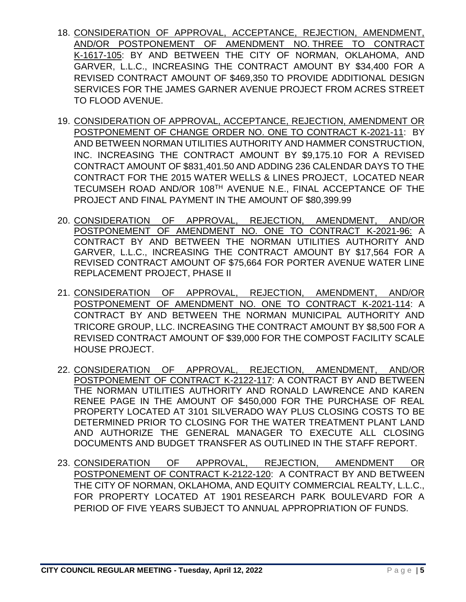- 18. CONSIDERATION OF APPROVAL, ACCEPTANCE, REJECTION, AMENDMENT, AND/OR POSTPONEMENT OF AMENDMENT NO. THREE TO CONTRACT K-1617-105: BY AND BETWEEN THE CITY OF NORMAN, OKLAHOMA, AND GARVER, L.L.C., INCREASING THE CONTRACT AMOUNT BY \$34,400 FOR A REVISED CONTRACT AMOUNT OF \$469,350 TO PROVIDE ADDITIONAL DESIGN SERVICES FOR THE JAMES GARNER AVENUE PROJECT FROM ACRES STREET TO FLOOD AVENUE.
- 19. CONSIDERATION OF APPROVAL, ACCEPTANCE, REJECTION, AMENDMENT OR POSTPONEMENT OF CHANGE ORDER NO. ONE TO CONTRACT K-2021-11: BY AND BETWEEN NORMAN UTILITIES AUTHORITY AND HAMMER CONSTRUCTION, INC. INCREASING THE CONTRACT AMOUNT BY \$9,175.10 FOR A REVISED CONTRACT AMOUNT OF \$831,401.50 AND ADDING 236 CALENDAR DAYS TO THE CONTRACT FOR THE 2015 WATER WELLS & LINES PROJECT, LOCATED NEAR TECUMSEH ROAD AND/OR 108TH AVENUE N.E., FINAL ACCEPTANCE OF THE PROJECT AND FINAL PAYMENT IN THE AMOUNT OF \$80,399.99
- 20. CONSIDERATION OF APPROVAL, REJECTION, AMENDMENT, AND/OR POSTPONEMENT OF AMENDMENT NO. ONE TO CONTRACT K-2021-96: A CONTRACT BY AND BETWEEN THE NORMAN UTILITIES AUTHORITY AND GARVER, L.L.C., INCREASING THE CONTRACT AMOUNT BY \$17,564 FOR A REVISED CONTRACT AMOUNT OF \$75,664 FOR PORTER AVENUE WATER LINE REPLACEMENT PROJECT, PHASE II
- 21. CONSIDERATION OF APPROVAL, REJECTION, AMENDMENT, AND/OR POSTPONEMENT OF AMENDMENT NO. ONE TO CONTRACT K-2021-114: A CONTRACT BY AND BETWEEN THE NORMAN MUNICIPAL AUTHORITY AND TRICORE GROUP, LLC. INCREASING THE CONTRACT AMOUNT BY \$8,500 FOR A REVISED CONTRACT AMOUNT OF \$39,000 FOR THE COMPOST FACILITY SCALE HOUSE PROJECT.
- 22. CONSIDERATION OF APPROVAL, REJECTION, AMENDMENT, AND/OR POSTPONEMENT OF CONTRACT K-2122-117: A CONTRACT BY AND BETWEEN THE NORMAN UTILITIES AUTHORITY AND RONALD LAWRENCE AND KAREN RENEE PAGE IN THE AMOUNT OF \$450,000 FOR THE PURCHASE OF REAL PROPERTY LOCATED AT 3101 SILVERADO WAY PLUS CLOSING COSTS TO BE DETERMINED PRIOR TO CLOSING FOR THE WATER TREATMENT PLANT LAND AND AUTHORIZE THE GENERAL MANAGER TO EXECUTE ALL CLOSING DOCUMENTS AND BUDGET TRANSFER AS OUTLINED IN THE STAFF REPORT.
- 23. CONSIDERATION OF APPROVAL, REJECTION, AMENDMENT OR POSTPONEMENT OF CONTRACT K-2122-120: A CONTRACT BY AND BETWEEN THE CITY OF NORMAN, OKLAHOMA, AND EQUITY COMMERCIAL REALTY, L.L.C., FOR PROPERTY LOCATED AT 1901 RESEARCH PARK BOULEVARD FOR A PERIOD OF FIVE YEARS SUBJECT TO ANNUAL APPROPRIATION OF FUNDS.